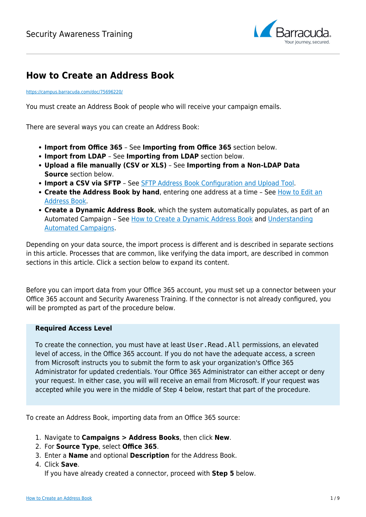

# **How to Create an Address Book**

<https://campus.barracuda.com/doc/75696220/>

You must create an Address Book of people who will receive your campaign emails.

There are several ways you can create an Address Book:

- **Import from Office 365** See **Importing from Office 365** section below.
- **Import from LDAP** See **Importing from LDAP** section below.
- **Upload a file manually (CSV or XLS)** See **Importing from a Non-LDAP Data Source** section below.
- **Import a CSV via SFTP** See [SFTP Address Book Configuration and Upload Tool](http://campus.barracuda.com/doc/80248981/).
- **Create the Address Book by hand**, entering one address at a time See [How to Edit an](http://campus.barracuda.com/doc/76284208/) [Address Book](http://campus.barracuda.com/doc/76284208/).
- **Create a Dynamic Address Book**, which the system automatically populates, as part of an Automated Campaign – See [How to Create a Dynamic Address Book](http://campus.barracuda.com/doc/88539910/) and [Understanding](http://campus.barracuda.com/doc/88539905/) [Automated Campaigns.](http://campus.barracuda.com/doc/88539905/)

Depending on your data source, the import process is different and is described in separate sections in this article. Processes that are common, like verifying the data import, are described in common sections in this article. Click a section below to expand its content.

Before you can import data from your Office 365 account, you must set up a connector between your Office 365 account and Security Awareness Training. If the connector is not already configured, you will be prompted as part of the procedure below.

#### **Required Access Level**

To create the connection, you must have at least User.Read.All permissions, an elevated level of access, in the Office 365 account. If you do not have the adequate access, a screen from Microsoft instructs you to submit the form to ask your organization's Office 365 Administrator for updated credentials. Your Office 365 Administrator can either accept or deny your request. In either case, you will will receive an email from Microsoft. If your request was accepted while you were in the middle of Step 4 below, restart that part of the procedure.

To create an Address Book, importing data from an Office 365 source:

- 1. Navigate to **Campaigns > Address Books**, then click **New**.
- 2. For **Source Type**, select **Office 365**.
- 3. Enter a **Name** and optional **Description** for the Address Book.

## 4. Click **Save**.

If you have already created a connector, proceed with **Step 5** below.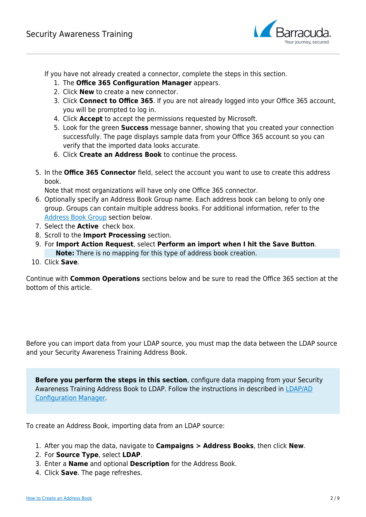

If you have not already created a connector, complete the steps in this section.

- 1. The **Office 365 Configuration Manager** appears.
- 2. Click **New** to create a new connector.
- 3. Click **Connect to Office 365**. If you are not already logged into your Office 365 account, you will be prompted to log in.
- 4. Click **Accept** to accept the permissions requested by Microsoft.
- 5. Look for the green **Success** message banner, showing that you created your connection successfully. The page displays sample data from your Office 365 account so you can verify that the imported data looks accurate.
- 6. Click **Create an Address Book** to continue the process.
- 5. In the **Office 365 Connector** field, select the account you want to use to create this address book.

Note that most organizations will have only one Office 365 connector.

- 6. Optionally specify an Address Book Group name. Each address book can belong to only one group. Groups can contain multiple address books. For additional information, refer to the [Address Book Group](#page--1-0) section below.
- 7. Select the **Active** check box.
- 8. Scroll to the **Import Processing** section.
- 9. For **Import Action Request**, select **Perform an import when I hit the Save Button**. **Note:** There is no mapping for this type of address book creation.
- 10. Click **Save**.

Continue with **Common Operations** sections below and be sure to read the Office 365 section at the bottom of this article.

Before you can import data from your LDAP source, you must map the data between the LDAP source and your Security Awareness Training Address Book.

**Before you perform the steps in this section**, configure data mapping from your Security Awareness Training Address Book to LDAP. Follow the instructions in described in [LDAP/AD](http://campus.barracuda.com/doc/79465243/) [Configuration Manager](http://campus.barracuda.com/doc/79465243/).

To create an Address Book, importing data from an LDAP source:

- 1. After you map the data, navigate to **Campaigns > Address Books**, then click **New**.
- 2. For **Source Type**, select **LDAP**.
- 3. Enter a **Name** and optional **Description** for the Address Book.
- 4. Click **Save**. The page refreshes.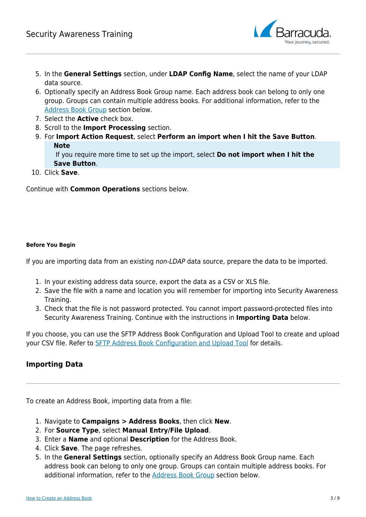

- 5. In the **General Settings** section, under **LDAP Config Name**, select the name of your LDAP data source.
- 6. Optionally specify an Address Book Group name. Each address book can belong to only one group. Groups can contain multiple address books. For additional information, refer to the [Address Book Group](#page--1-0) section below.
- 7. Select the **Active** check box.
- 8. Scroll to the **Import Processing** section.
- 9. For **Import Action Request**, select **Perform an import when I hit the Save Button**. **Note**

 If you require more time to set up the import, select **Do not import when I hit the Save Button**.

10. Click **Save**.

Continue with **Common Operations** sections below.

## **Before You Begin**

If you are importing data from an existing non-LDAP data source, prepare the data to be imported.

- 1. In your existing address data source, export the data as a CSV or XLS file.
- 2. Save the file with a name and location you will remember for importing into Security Awareness Training.
- 3. Check that the file is not password protected. You cannot import password-protected files into Security Awareness Training. Continue with the instructions in **Importing Data** below.

If you choose, you can use the SFTP Address Book Configuration and Upload Tool to create and upload your CSV file. Refer to [SFTP Address Book Configuration and Upload Tool](http://campus.barracuda.com/doc/80248981/) for details.

# **Importing Data**

To create an Address Book, importing data from a file:

- 1. Navigate to **Campaigns > Address Books**, then click **New**.
- 2. For **Source Type**, select **Manual Entry/File Upload**.
- 3. Enter a **Name** and optional **Description** for the Address Book.
- 4. Click **Save**. The page refreshes.
- 5. In the **General Settings** section, optionally specify an Address Book Group name. Each address book can belong to only one group. Groups can contain multiple address books. For additional information, refer to the [Address Book Group](#page--1-0) section below.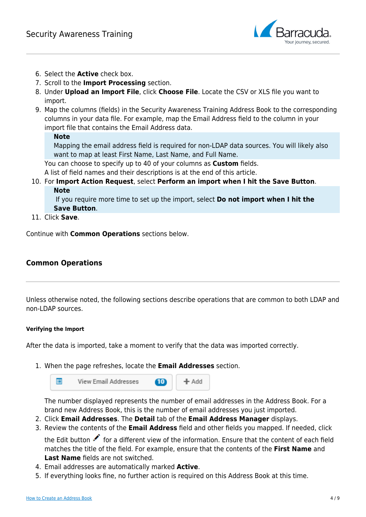

- 6. Select the **Active** check box.
- 7. Scroll to the **Import Processing** section.
- 8. Under **Upload an Import File**, click **Choose File**. Locate the CSV or XLS file you want to import.
- 9. Map the columns (fields) in the Security Awareness Training Address Book to the corresponding columns in your data file. For example, map the Email Address field to the column in your import file that contains the Email Address data.

## **Note**

Mapping the email address field is required for non-LDAP data sources. You will likely also want to map at least First Name, Last Name, and Full Name.

You can choose to specify up to 40 of your columns as **Custom** fields.

A list of field names and their descriptions is at the end of this article.

10. For **Import Action Request**, select **Perform an import when I hit the Save Button**. **Note**

 If you require more time to set up the import, select **Do not import when I hit the Save Button**.

11. Click **Save**.

Continue with **Common Operations** sections below.

# **Common Operations**

Unless otherwise noted, the following sections describe operations that are common to both LDAP and non-LDAP sources.

## **Verifying the Import**

After the data is imported, take a moment to verify that the data was imported correctly.

1. When the page refreshes, locate the **Email Addresses** section.



The number displayed represents the number of email addresses in the Address Book. For a brand new Address Book, this is the number of email addresses you just imported.

- 2. Click **Email Addresses**. The **Detail** tab of the **Email Address Manager** displays.
- 3. Review the contents of the **Email Address** field and other fields you mapped. If needed, click

the Edit button for a different view of the information. Ensure that the content of each field matches the title of the field. For example, ensure that the contents of the **First Name** and **Last Name** fields are not switched.

- 4. Email addresses are automatically marked **Active**.
- 5. If everything looks fine, no further action is required on this Address Book at this time.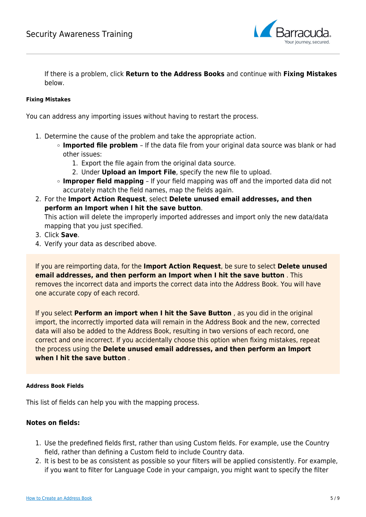

If there is a problem, click **Return to the Address Books** and continue with **Fixing Mistakes** below.

### **Fixing Mistakes**

You can address any importing issues without having to restart the process.

- 1. Determine the cause of the problem and take the appropriate action.
	- **Imported file problem**  If the data file from your original data source was blank or had other issues:
		- 1. Export the file again from the original data source.
		- 2. Under **Upload an Import File**, specify the new file to upload.
	- **Improper field mapping** If your field mapping was off and the imported data did not accurately match the field names, map the fields again.
- 2. For the **Import Action Request**, select **Delete unused email addresses, and then perform an Import when I hit the save button**.

This action will delete the improperly imported addresses and import only the new data/data mapping that you just specified.

- 3. Click **Save**.
- 4. Verify your data as described above.

If you are reimporting data, for the **Import Action Request**, be sure to select **Delete unused email addresses, and then perform an Import when I hit the save button** . This removes the incorrect data and imports the correct data into the Address Book. You will have one accurate copy of each record.

If you select **Perform an import when I hit the Save Button** , as you did in the original import, the incorrectly imported data will remain in the Address Book and the new, corrected data will also be added to the Address Book, resulting in two versions of each record, one correct and one incorrect. If you accidentally choose this option when fixing mistakes, repeat the process using the **Delete unused email addresses, and then perform an Import when I hit the save button** .

## **Address Book Fields**

This list of fields can help you with the mapping process.

## **Notes on fields:**

- 1. Use the predefined fields first, rather than using Custom fields. For example, use the Country field, rather than defining a Custom field to include Country data.
- 2. It is best to be as consistent as possible so your filters will be applied consistently. For example, if you want to filter for Language Code in your campaign, you might want to specify the filter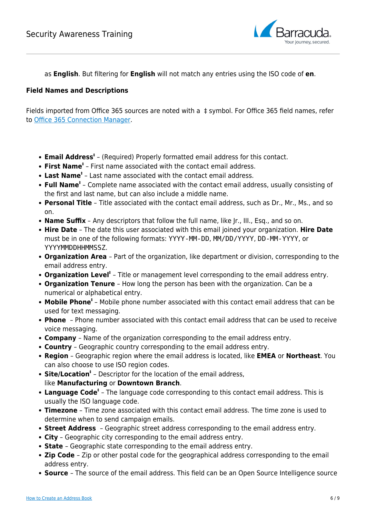

as **English**. But filtering for **English** will not match any entries using the ISO code of **en**.

## **Field Names and Descriptions**

Fields imported from Office 365 sources are noted with a ‡ symbol. For Office 365 field names, refer to [Office 365 Connection Manager](http://campus.barracuda.com/doc/94536707/).

- **Email Address‡** – (Required) Properly formatted email address for this contact.
- **First Name‡** First name associated with the contact email address.
- Last Name<sup>*†*</sup> Last name associated with the contact email address.
- **Full Name<sup>‡</sup>** Complete name associated with the contact email address, usually consisting of the first and last name, but can also include a middle name.
- **Personal Title** Title associated with the contact email address, such as Dr., Mr., Ms., and so on.
- **Name Suffix** Any descriptors that follow the full name, like Jr., III., Esq., and so on.
- **Hire Date** The date this user associated with this email joined your organization. **Hire Date** must be in one of the following formats: YYYY-MM-DD, MM/DD/YYYY, DD-MM-YYYY, or YYYYMMDDHHMMSSZ.
- **Organization Area**  Part of the organization, like department or division, corresponding to the email address entry.
- **Organization Level‡** Title or management level corresponding to the email address entry.
- **Organization Tenure**  How long the person has been with the organization. Can be a numerical or alphabetical entry.
- **Mobile Phone<sup>‡</sup>** Mobile phone number associated with this contact email address that can be used for text messaging.
- **Phone**  Phone number associated with this contact email address that can be used to receive voice messaging.
- **Company**  Name of the organization corresponding to the email address entry.
- **Country**  Geographic country corresponding to the email address entry.
- **Region**  Geographic region where the email address is located, like **EMEA** or **Northeast**. You can also choose to use ISO region codes.
- **Site/Location‡** Descriptor for the location of the email address, like **Manufacturing** or **Downtown Branch**.
- **Language Code‡** The language code corresponding to this contact email address. This is usually the ISO language code.
- **Timezone** Time zone associated with this contact email address. The time zone is used to determine when to send campaign emails.
- **Street Address**  Geographic street address corresponding to the email address entry.
- **City** Geographic city corresponding to the email address entry.
- **State**  Geographic state corresponding to the email address entry.
- **Zip Code**  Zip or other postal code for the geographical address corresponding to the email address entry.
- **Source**  The source of the email address. This field can be an Open Source Intelligence source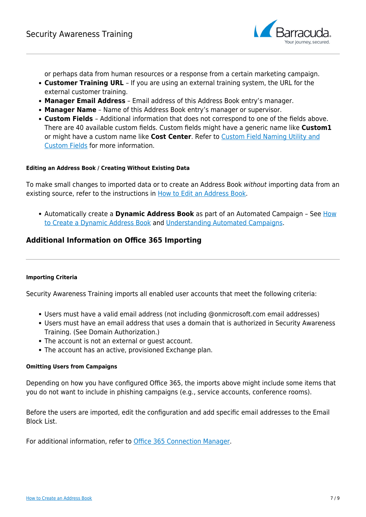

or perhaps data from human resources or a response from a certain marketing campaign.

- **Customer Training URL**  If you are using an external training system, the URL for the external customer training.
- **Manager Email Address** Email address of this Address Book entry's manager.
- **Manager Name** Name of this Address Book entry's manager or supervisor.
- **Custom Fields**  Additional information that does not correspond to one of the fields above. There are 40 available custom fields. Custom fields might have a generic name like **Custom1** or might have a custom name like **Cost Center**. Refer to [Custom Field Naming Utility and](http://campus.barracuda.com/doc/76284530/) [Custom Fields](http://campus.barracuda.com/doc/76284530/) for more information.

### **Editing an Address Book / Creating Without Existing Data**

To make small changes to imported data or to create an Address Book without importing data from an existing source, refer to the instructions in [How to Edit an Address Book.](http://campus.barracuda.com/doc/76284208/)

Automatically create a **Dynamic Address Book** as part of an Automated Campaign – See [How](http://campus.barracuda.com/doc/88539910/) [to Create a Dynamic Address Book](http://campus.barracuda.com/doc/88539910/) and [Understanding Automated Campaigns.](http://campus.barracuda.com/doc/88539905/)

## **Additional Information on Office 365 Importing**

#### **Importing Criteria**

Security Awareness Training imports all enabled user accounts that meet the following criteria:

- Users must have a valid email address (not including @onmicrosoft.com email addresses)
- Users must have an email address that uses a domain that is authorized in Security Awareness Training. (See Domain Authorization.)
- The account is not an external or guest account.
- The account has an active, provisioned Exchange plan.

#### **Omitting Users from Campaigns**

Depending on how you have configured Office 365, the imports above might include some items that you do not want to include in phishing campaigns (e.g., service accounts, conference rooms).

Before the users are imported, edit the configuration and add specific email addresses to the Email Block List.

For additional information, refer to [Office 365 Connection Manager.](http://campus.barracuda.com/doc/94536707/)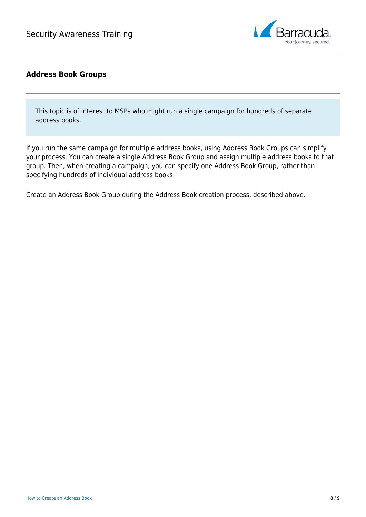

# **Address Book Groups**

This topic is of interest to MSPs who might run a single campaign for hundreds of separate address books.

If you run the same campaign for multiple address books, using Address Book Groups can simplify your process. You can create a single Address Book Group and assign multiple address books to that group. Then, when creating a campaign, you can specify one Address Book Group, rather than specifying hundreds of individual address books.

Create an Address Book Group during the Address Book creation process, described above.